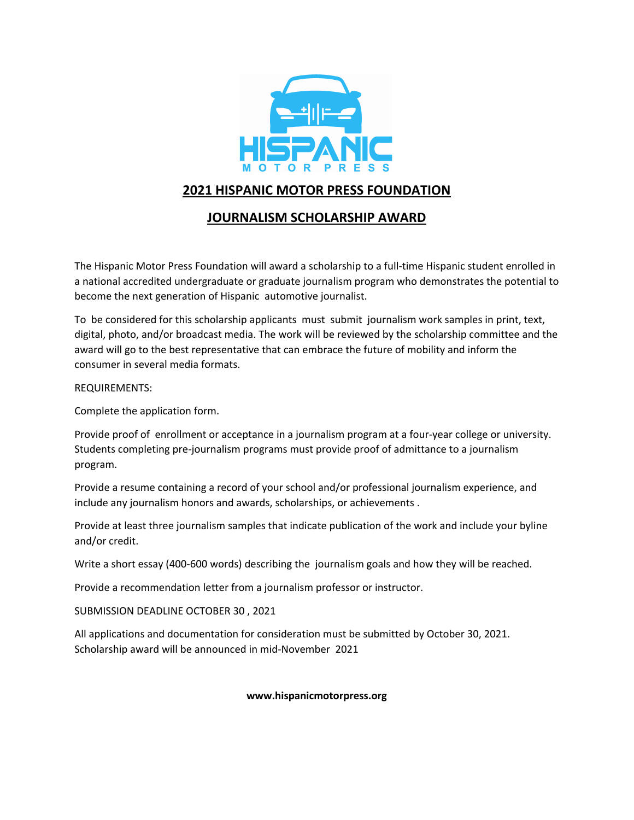

## **2021 HISPANIC MOTOR PRESS FOUNDATION**

## **JOURNALISM SCHOLARSHIP AWARD**

The Hispanic Motor Press Foundation will award a scholarship to a full-time Hispanic student enrolled in a national accredited undergraduate or graduate journalism program who demonstrates the potential to become the next generation of Hispanic automotive journalist.

To be considered for this scholarship applicants must submit journalism work samples in print, text, digital, photo, and/or broadcast media. The work will be reviewed by the scholarship committee and the award will go to the best representative that can embrace the future of mobility and inform the consumer in several media formats.

### REQUIREMENTS:

Complete the application form.

Provide proof of enrollment or acceptance in a journalism program at a four-year college or university. Students completing pre-journalism programs must provide proof of admittance to a journalism program.

Provide a resume containing a record of your school and/or professional journalism experience, and include any journalism honors and awards, scholarships, or achievements .

Provide at least three journalism samples that indicate publication of the work and include your byline and/or credit.

Write a short essay (400-600 words) describing the journalism goals and how they will be reached.

Provide a recommendation letter from a journalism professor or instructor.

SUBMISSION DEADLINE OCTOBER 30 , 2021

All applications and documentation for consideration must be submitted by October 30, 2021. Scholarship award will be announced in mid-November 2021

#### **www.hispanicmotorpress.org**